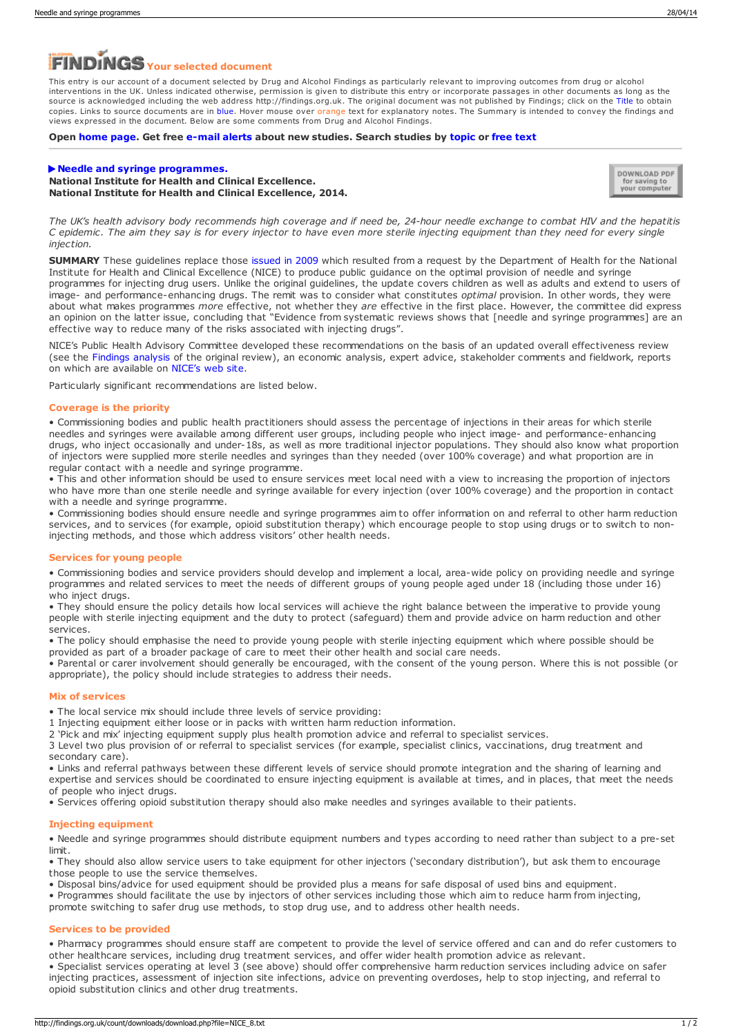# *Your selected document*

This entry is our account of a document selected by Drug and Alcohol Findings as particularly relevant to improving outcomes from drug or alcohol interventions in the UK. Unless indicated otherwise, permission is given to distribute this entry or incorporate passages in other documents as long as the source is acknowledged including the web address http://findings.org.uk. The original document was not published by Findings; click on the Title to obtain copies. Links to source documents are in blue. Hover mouse over orange text for explanatory notes. The Summary is intended to convey the findings and views expressed in the document. Below are some comments from Drug and Alcohol Findings.

#### **Open [home](https://findings.org.uk/index.php) page. Get free [e-mail](https://findings.org.uk/index.php#signUp) alerts about new studies. Search studies by [topic](https://findings.org.uk/topic_search.htm) or [free](https://findings.org.uk/free_search.htm) text**

# **Needle and syringe [programmes.](http://guidance.nice.org.uk/ph52) National Institute for Health and Clinical Excellence. National Institute for Health and Clinical Excellence, 2014.**



The UK's health advisory body recommends high coverage and if need be, 24-hour needle exchange to combat HIV and the hepatitis C epidemic. The aim they say is for every injector to have even more sterile injecting equipment than they need for every single *injection.*

**SUMMARY** These guidelines replace those [issued](http://www.nice.org.uk/ph18) in 2009 which resulted from a request by the Department of Health for the National Institute for Health and Clinical Excellence (NICE) to produce public guidance on the optimal provision of needle and syringe programmes for injecting drug users. Unlike the original guidelines, the update covers children as well as adults and extend to users of image- and performance-enhancing drugs. The remit was to consider what constitutes *optimal* provision. In other words, they were about what makes programmes *more* effective, not whether they *are* effective in the first place. However, the committee did express an opinion on the latter issue, concluding that "Evidence from systematic reviews shows that [needle and syringe programmes] are an effective way to reduce many of the risks associated with injecting drugs".

NICE's Public Health Advisory Committee developed these recommendations on the basis of an updated overall effectiveness review (see the [Findings](https://findings.org.uk/count/downloads/download.php?file=Jones_L_6.txt) analysis of the original review), an economic analysis, expert advice, stakeholder comments and fieldwork, reports on which are available on [NICE's](http://publications.nice.org.uk/needle-and-syringe-programmes-ph52/about-this-guidance#what-evidence-is-the-guidance-based-on) web site.

Particularly significant recommendations are listed below.

# **Coverage is the priority**

<span id="page-0-0"></span>• Commissioning bodies and public health practitioners should assess the percentage of injections in their areas for which sterile needles and syringes were available among different user groups, including people who inject image- and performance-enhancing drugs, who inject occasionally and under-18s, as well as more traditional injector populations. They should also know what proportion of injectors were supplied more sterile needles and syringes than they needed (over 100% coverage) and what proportion are in regular contact with a needle and syringe programme.

• This and other information should be used to ensure services meet local need with a view to increasing the proportion of injectors who have more than one sterile needle and syringe available for every injection (over 100% coverage) and the proportion in contact with a needle and syringe programme.

• Commissioning bodies should ensure needle and syringe programmes aim to offer information on and referral to other harm reduction services, and to services (for example, opioid substitution therapy) which encourage people to stop using drugs or to switch to noninjecting methods, and those which address visitors' other health needs.

### **Services for young people**

• Commissioning bodies and service providers should develop and implement a local, area-wide policy on providing needle and syringe programmes and related services to meet the needs of different groups of young people aged under 18 (including those under 16) who inject drugs.

• They should ensure the policy details how local services will achieve the right balance between the imperative to provide young people with sterile injecting equipment and the duty to protect (safeguard) them and provide advice on harm reduction and other services.

• The policy should emphasise the need to provide young people with sterile injecting equipment which where possible should be provided as part of a broader package of care to meet their other health and social care needs.

• Parental or carer involvement should generally be encouraged, with the consent of the young person. Where this is not possible (or appropriate), the policy should include strategies to address their needs.

# **Mix of services**

• The local service mix should include three levels of service providing:

1 Injecting equipment either loose or in packs with written harm reduction information.

2 'Pick and mix' injecting equipment supply plus health promotion advice and referral to specialist services.

3 Level two plus provision of or referral to specialist services (for example, specialist clinics, vaccinations, drug treatment and secondary care).

• Links and referral pathways between these different levels of service should promote integration and the sharing of learning and expertise and services should be coordinated to ensure injecting equipment is available at times, and in places, that meet the needs of people who inject drugs.

• Services offering opioid substitution therapy should also make needles and syringes available to their patients.

#### **Injecting equipment**

<span id="page-0-1"></span>• Needle and syringe programmes should distribute equipment numbers and types according to need rather than subject to a pre-set limit.

• They should also allow service users to take equipment for other injectors ('secondary distribution'), but ask them to encourage those people to use the service themselves.

• Disposal bins/advice for used equipment should be provided plus a means for safe disposal of used bins and equipment.

• Programmes should facilitate the use by injectors of other services including those which aim to reduce harm from injecting,

promote switching to safer drug use methods, to stop drug use, and to address other health needs.

#### **Services to be provided**

• Pharmacy programmes should ensure staff are competent to provide the level of service offered and can and do refer customers to other healthcare services, including drug treatment services, and offer wider health promotion advice as relevant.

• Specialist services operating at level 3 (see above) should offer comprehensive harm reduction services including advice on safer injecting practices, assessment of injection site infections, advice on preventing overdoses, help to stop injecting, and referral to opioid substitution clinics and other drug treatments.